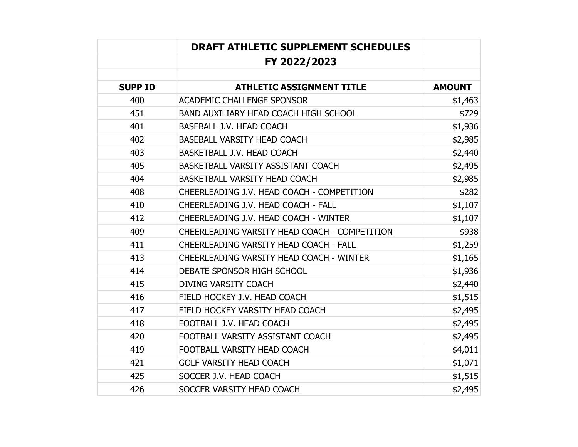|                | <b>DRAFT ATHLETIC SUPPLEMENT SCHEDULES</b>    |               |
|----------------|-----------------------------------------------|---------------|
|                | FY 2022/2023                                  |               |
| <b>SUPP ID</b> | <b>ATHLETIC ASSIGNMENT TITLE</b>              | <b>AMOUNT</b> |
| 400            | <b>ACADEMIC CHALLENGE SPONSOR</b>             | \$1,463       |
| 451            | <b>BAND AUXILIARY HEAD COACH HIGH SCHOOL</b>  | \$729         |
| 401            | <b>BASEBALL J.V. HEAD COACH</b>               | \$1,936       |
| 402            | <b>BASEBALL VARSITY HEAD COACH</b>            | \$2,985       |
| 403            | BASKETBALL J.V. HEAD COACH                    | \$2,440       |
| 405            | BASKETBALL VARSITY ASSISTANT COACH            | \$2,495       |
| 404            | <b>BASKETBALL VARSITY HEAD COACH</b>          | \$2,985       |
| 408            | CHEERLEADING J.V. HEAD COACH - COMPETITION    | \$282         |
| 410            | CHEERLEADING J.V. HEAD COACH - FALL           | \$1,107       |
| 412            | CHEERLEADING J.V. HEAD COACH - WINTER         | \$1,107       |
| 409            | CHEERLEADING VARSITY HEAD COACH - COMPETITION | \$938         |
| 411            | <b>CHEERLEADING VARSITY HEAD COACH - FALL</b> | \$1,259       |
| 413            | CHEERLEADING VARSITY HEAD COACH - WINTER      | \$1,165       |
| 414            | DEBATE SPONSOR HIGH SCHOOL                    | \$1,936       |
| 415            | <b>DIVING VARSITY COACH</b>                   | \$2,440       |
| 416            | FIELD HOCKEY J.V. HEAD COACH                  | \$1,515       |
| 417            | FIELD HOCKEY VARSITY HEAD COACH               | \$2,495       |
| 418            | FOOTBALL J.V. HEAD COACH                      | \$2,495       |
| 420            | FOOTBALL VARSITY ASSISTANT COACH              | \$2,495       |
| 419            | FOOTBALL VARSITY HEAD COACH                   | \$4,011       |
| 421            | <b>GOLF VARSITY HEAD COACH</b>                | \$1,071       |
| 425            | SOCCER J.V. HEAD COACH                        | \$1,515       |
| 426            | SOCCER VARSITY HEAD COACH                     | \$2,495       |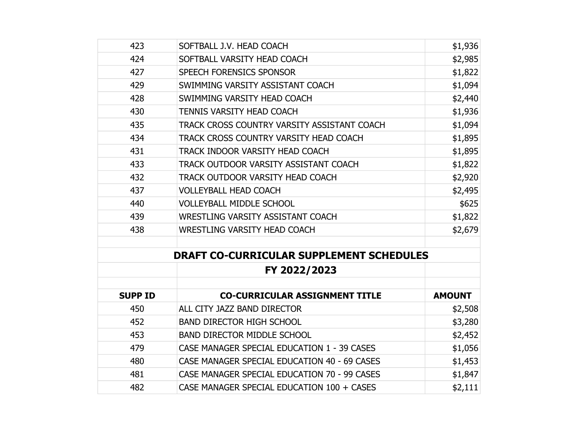| 423            | SOFTBALL J.V. HEAD COACH                        | \$1,936       |
|----------------|-------------------------------------------------|---------------|
| 424            | SOFTBALL VARSITY HEAD COACH                     | \$2,985       |
| 427            | SPEECH FORENSICS SPONSOR                        | \$1,822       |
| 429            | SWIMMING VARSITY ASSISTANT COACH                | \$1,094       |
| 428            | SWIMMING VARSITY HEAD COACH                     | \$2,440       |
| 430            | <b>TENNIS VARSITY HEAD COACH</b>                | \$1,936       |
| 435            | TRACK CROSS COUNTRY VARSITY ASSISTANT COACH     | \$1,094       |
| 434            | TRACK CROSS COUNTRY VARSITY HEAD COACH          | \$1,895       |
| 431            | TRACK INDOOR VARSITY HEAD COACH                 | \$1,895       |
| 433            | TRACK OUTDOOR VARSITY ASSISTANT COACH           | \$1,822       |
| 432            | TRACK OUTDOOR VARSITY HEAD COACH                | \$2,920       |
| 437            | <b>VOLLEYBALL HEAD COACH</b>                    | \$2,495       |
| 440            | <b>VOLLEYBALL MIDDLE SCHOOL</b>                 | \$625         |
| 439            | WRESTLING VARSITY ASSISTANT COACH               | \$1,822       |
| 438            | <b>WRESTLING VARSITY HEAD COACH</b>             | \$2,679       |
|                |                                                 |               |
|                | <b>DRAFT CO-CURRICULAR SUPPLEMENT SCHEDULES</b> |               |
|                | FY 2022/2023                                    |               |
|                |                                                 |               |
| <b>SUPP ID</b> | <b>CO-CURRICULAR ASSIGNMENT TITLE</b>           | <b>AMOUNT</b> |
| 450            | ALL CITY JAZZ BAND DIRECTOR                     | \$2,508       |
| 452            | <b>BAND DIRECTOR HIGH SCHOOL</b>                | \$3,280       |
| 453            | <b>BAND DIRECTOR MIDDLE SCHOOL</b>              | \$2,452       |
| 479            | CASE MANAGER SPECIAL EDUCATION 1 - 39 CASES     | \$1,056       |
| 480            | CASE MANAGER SPECIAL EDUCATION 40 - 69 CASES    | \$1,453       |
| 481            | CASE MANAGER SPECIAL EDUCATION 70 - 99 CASES    | \$1,847       |
| 482            | CASE MANAGER SPECIAL EDUCATION 100 + CASES      | \$2,111       |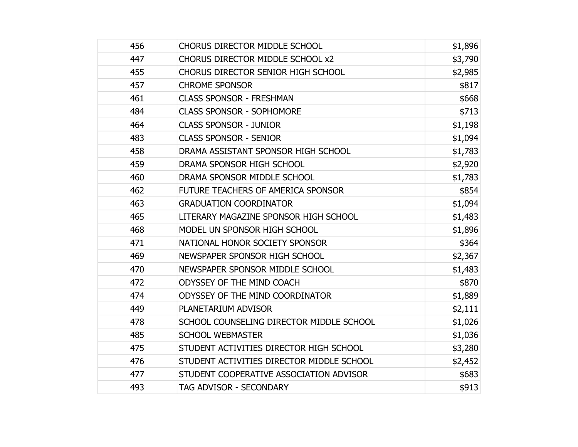| 456 | <b>CHORUS DIRECTOR MIDDLE SCHOOL</b>      | \$1,896 |
|-----|-------------------------------------------|---------|
| 447 | CHORUS DIRECTOR MIDDLE SCHOOL x2          | \$3,790 |
| 455 | <b>CHORUS DIRECTOR SENIOR HIGH SCHOOL</b> | \$2,985 |
| 457 | <b>CHROME SPONSOR</b>                     | \$817   |
| 461 | <b>CLASS SPONSOR - FRESHMAN</b>           | \$668   |
| 484 | <b>CLASS SPONSOR - SOPHOMORE</b>          | \$713   |
| 464 | <b>CLASS SPONSOR - JUNIOR</b>             | \$1,198 |
| 483 | <b>CLASS SPONSOR - SENIOR</b>             | \$1,094 |
| 458 | DRAMA ASSISTANT SPONSOR HIGH SCHOOL       | \$1,783 |
| 459 | DRAMA SPONSOR HIGH SCHOOL                 | \$2,920 |
| 460 | DRAMA SPONSOR MIDDLE SCHOOL               | \$1,783 |
| 462 | FUTURE TEACHERS OF AMERICA SPONSOR        | \$854   |
| 463 | <b>GRADUATION COORDINATOR</b>             | \$1,094 |
| 465 | LITERARY MAGAZINE SPONSOR HIGH SCHOOL     | \$1,483 |
| 468 | MODEL UN SPONSOR HIGH SCHOOL              | \$1,896 |
| 471 | NATIONAL HONOR SOCIETY SPONSOR            | \$364   |
| 469 | NEWSPAPER SPONSOR HIGH SCHOOL             | \$2,367 |
| 470 | NEWSPAPER SPONSOR MIDDLE SCHOOL           | \$1,483 |
| 472 | <b>ODYSSEY OF THE MIND COACH</b>          | \$870   |
| 474 | ODYSSEY OF THE MIND COORDINATOR           | \$1,889 |
| 449 | PLANETARIUM ADVISOR                       | \$2,111 |
| 478 | SCHOOL COUNSELING DIRECTOR MIDDLE SCHOOL  | \$1,026 |
| 485 | <b>SCHOOL WEBMASTER</b>                   | \$1,036 |
| 475 | STUDENT ACTIVITIES DIRECTOR HIGH SCHOOL   | \$3,280 |
| 476 | STUDENT ACTIVITIES DIRECTOR MIDDLE SCHOOL | \$2,452 |
| 477 | STUDENT COOPERATIVE ASSOCIATION ADVISOR   | \$683   |
| 493 | <b>TAG ADVISOR - SECONDARY</b>            | \$913   |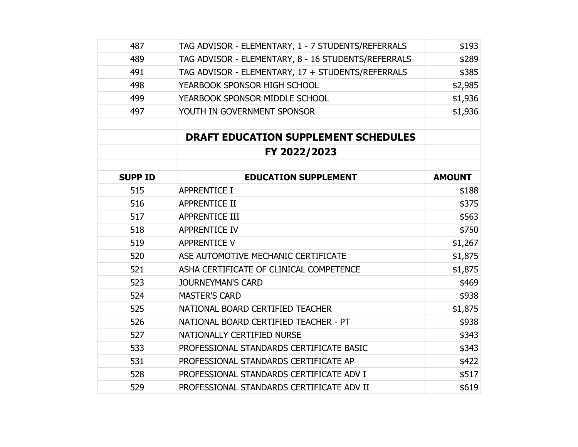| 487            | TAG ADVISOR - ELEMENTARY, 1 - 7 STUDENTS/REFERRALS  | \$193         |
|----------------|-----------------------------------------------------|---------------|
| 489            | TAG ADVISOR - ELEMENTARY, 8 - 16 STUDENTS/REFERRALS | \$289         |
| 491            | TAG ADVISOR - ELEMENTARY, 17 + STUDENTS/REFERRALS   | \$385         |
| 498            | YEARBOOK SPONSOR HIGH SCHOOL                        | \$2,985       |
| 499            | YEARBOOK SPONSOR MIDDLE SCHOOL                      | \$1,936       |
| 497            | YOUTH IN GOVERNMENT SPONSOR                         | \$1,936       |
|                |                                                     |               |
|                | <b>DRAFT EDUCATION SUPPLEMENT SCHEDULES</b>         |               |
|                | FY 2022/2023                                        |               |
| <b>SUPP ID</b> | <b>EDUCATION SUPPLEMENT</b>                         | <b>AMOUNT</b> |
| 515            | <b>APPRENTICE I</b>                                 | \$188         |
| 516            | <b>APPRENTICE II</b>                                | \$375         |
| 517            | <b>APPRENTICE III</b>                               | \$563         |
| 518            | <b>APPRENTICE IV</b>                                | \$750         |
| 519            | <b>APPRENTICE V</b>                                 | \$1,267       |
| 520            | ASE AUTOMOTIVE MECHANIC CERTIFICATE                 | \$1,875       |
| 521            | ASHA CERTIFICATE OF CLINICAL COMPETENCE             | \$1,875       |
| 523            | <b>JOURNEYMAN'S CARD</b>                            | \$469         |
| 524            | <b>MASTER'S CARD</b>                                | \$938         |
| 525            | NATIONAL BOARD CERTIFIED TEACHER                    | \$1,875       |
| 526            | NATIONAL BOARD CERTIFIED TEACHER - PT               | \$938         |
| 527            | NATIONALLY CERTIFIED NURSE                          | \$343         |
| 533            | PROFESSIONAL STANDARDS CERTIFICATE BASIC            | \$343         |
| 531            | PROFESSIONAL STANDARDS CERTIFICATE AP               | \$422         |
| 528            | PROFESSIONAL STANDARDS CERTIFICATE ADV I            | \$517         |
| 529            | PROFESSIONAL STANDARDS CERTIFICATE ADV II           | \$619         |